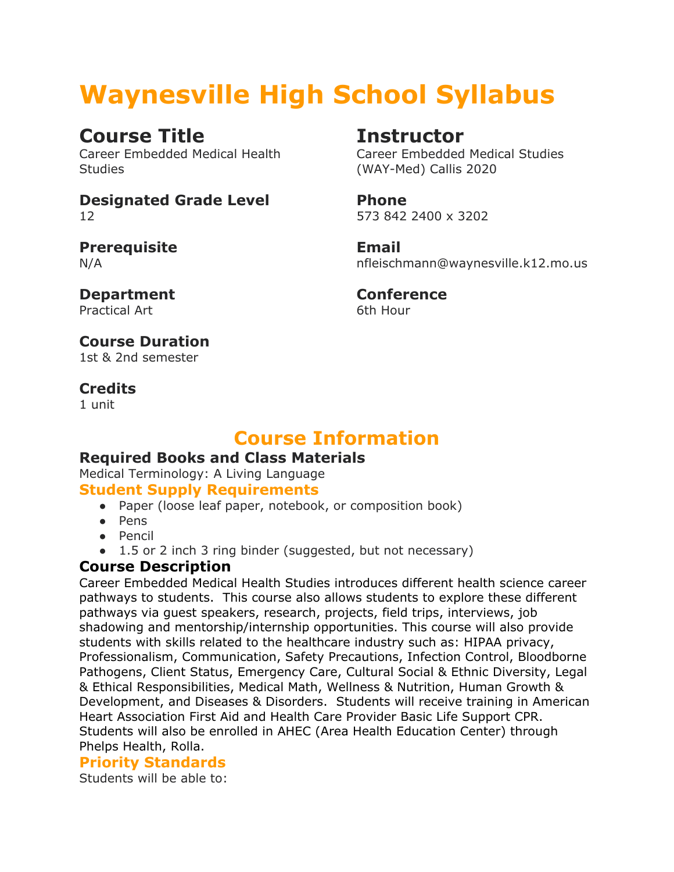# **Waynesville High School Syllabus**

# **Course Title**

Career Embedded Medical Health **Studies** 

#### **Designated Grade Level** 12

#### **Prerequisite** N/A

**Department** Practical Art

# **Instructor**

Career Embedded Medical Studies (WAY-Med) Callis 2020

**Phone** 573 842 2400 x 3202

**Email** nfleischmann@waynesville.k12.mo.us

**Conference** 6th Hour

#### **Course Duration** 1st & 2nd semester

**Credits**

1 unit

# **Course Information**

# **Required Books and Class Materials**

Medical Terminology: A Living Language

# **Student Supply Requirements**

- Paper (loose leaf paper, notebook, or composition book)
- Pens
- Pencil
- 1.5 or 2 inch 3 ring binder (suggested, but not necessary)

# **Course Description**

Career Embedded Medical Health Studies introduces different health science career pathways to students. This course also allows students to explore these different pathways via guest speakers, research, projects, field trips, interviews, job shadowing and mentorship/internship opportunities. This course will also provide students with skills related to the healthcare industry such as: HIPAA privacy, Professionalism, Communication, Safety Precautions, Infection Control, Bloodborne Pathogens, Client Status, Emergency Care, Cultural Social & Ethnic Diversity, Legal & Ethical Responsibilities, Medical Math, Wellness & Nutrition, Human Growth & Development, and Diseases & Disorders. Students will receive training in American Heart Association First Aid and Health Care Provider Basic Life Support CPR. Students will also be enrolled in AHEC (Area Health Education Center) through Phelps Health, Rolla.

# **Priority Standards**

Students will be able to: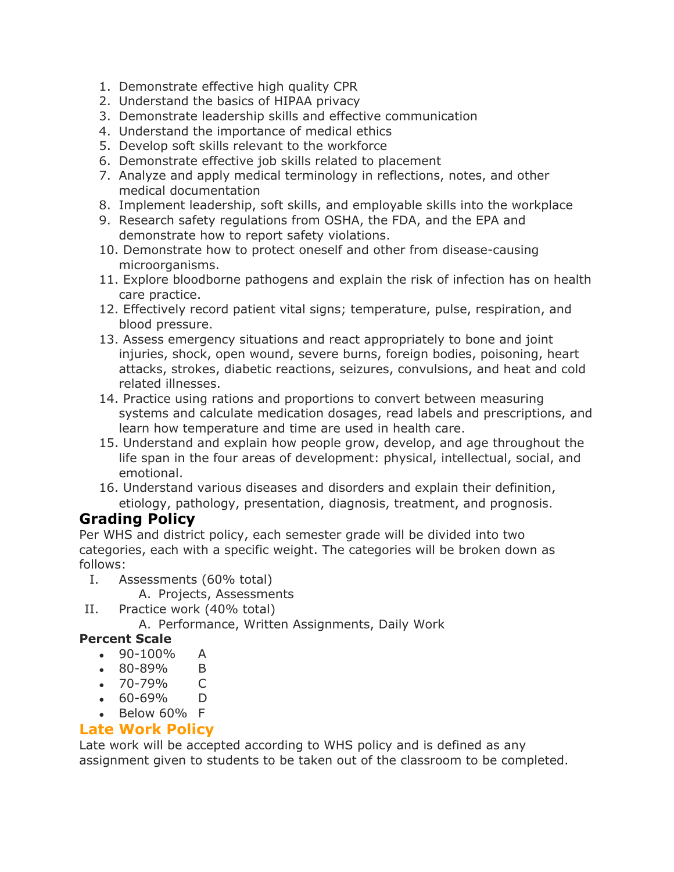- 1. Demonstrate effective high quality CPR
- 2. Understand the basics of HIPAA privacy
- 3. Demonstrate leadership skills and effective communication
- 4. Understand the importance of medical ethics
- 5. Develop soft skills relevant to the workforce
- 6. Demonstrate effective job skills related to placement
- 7. Analyze and apply medical terminology in reflections, notes, and other medical documentation
- 8. Implement leadership, soft skills, and employable skills into the workplace
- 9. Research safety regulations from OSHA, the FDA, and the EPA and demonstrate how to report safety violations.
- 10. Demonstrate how to protect oneself and other from disease-causing microorganisms.
- 11. Explore bloodborne pathogens and explain the risk of infection has on health care practice.
- 12. Effectively record patient vital signs; temperature, pulse, respiration, and blood pressure.
- 13. Assess emergency situations and react appropriately to bone and joint injuries, shock, open wound, severe burns, foreign bodies, poisoning, heart attacks, strokes, diabetic reactions, seizures, convulsions, and heat and cold related illnesses.
- 14. Practice using rations and proportions to convert between measuring systems and calculate medication dosages, read labels and prescriptions, and learn how temperature and time are used in health care.
- 15. Understand and explain how people grow, develop, and age throughout the life span in the four areas of development: physical, intellectual, social, and emotional.
- 16. Understand various diseases and disorders and explain their definition, etiology, pathology, presentation, diagnosis, treatment, and prognosis.

# **Grading Policy**

Per WHS and district policy, each semester grade will be divided into two categories, each with a specific weight. The categories will be broken down as follows:

I. Assessments (60% total)

A. Projects, Assessments

- II. Practice work (40% total)
	- A. Performance, Written Assignments, Daily Work

#### **Percent Scale**

- $\bullet$  90-100% A
- 80-89% B
- 70-79% C
- $\bullet$  60-69% D
- $\bullet$  Below 60% F

### **Late Work Policy**

Late work will be accepted according to WHS policy and is defined as any assignment given to students to be taken out of the classroom to be completed.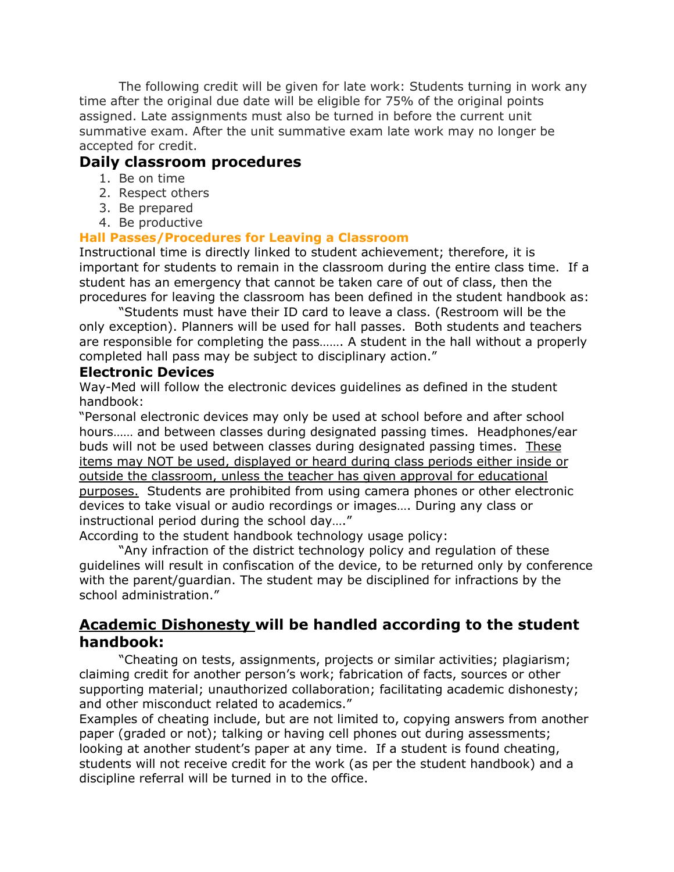The following credit will be given for late work: Students turning in work any time after the original due date will be eligible for 75% of the original points assigned. Late assignments must also be turned in before the current unit summative exam. After the unit summative exam late work may no longer be accepted for credit.

#### **Daily classroom procedures**

- 1. Be on time
- 2. Respect others
- 3. Be prepared
- 4. Be productive

#### **Hall Passes/Procedures for Leaving a Classroom**

Instructional time is directly linked to student achievement; therefore, it is important for students to remain in the classroom during the entire class time. If a student has an emergency that cannot be taken care of out of class, then the procedures for leaving the classroom has been defined in the student handbook as:

"Students must have their ID card to leave a class. (Restroom will be the only exception). Planners will be used for hall passes. Both students and teachers are responsible for completing the pass……. A student in the hall without a properly completed hall pass may be subject to disciplinary action."

#### **Electronic Devices**

Way-Med will follow the electronic devices guidelines as defined in the student handbook:

"Personal electronic devices may only be used at school before and after school hours…… and between classes during designated passing times. Headphones/ear buds will not be used between classes during designated passing times. These items may NOT be used, displayed or heard during class periods either inside or outside the classroom, unless the teacher has given approval for educational purposes. Students are prohibited from using camera phones or other electronic devices to take visual or audio recordings or images…. During any class or instructional period during the school day…."

According to the student handbook technology usage policy:

"Any infraction of the district technology policy and regulation of these guidelines will result in confiscation of the device, to be returned only by conference with the parent/guardian. The student may be disciplined for infractions by the school administration."

## **Academic Dishonesty will be handled according to the student handbook:**

"Cheating on tests, assignments, projects or similar activities; plagiarism; claiming credit for another person's work; fabrication of facts, sources or other supporting material; unauthorized collaboration; facilitating academic dishonesty; and other misconduct related to academics."

Examples of cheating include, but are not limited to, copying answers from another paper (graded or not); talking or having cell phones out during assessments; looking at another student's paper at any time. If a student is found cheating, students will not receive credit for the work (as per the student handbook) and a discipline referral will be turned in to the office.